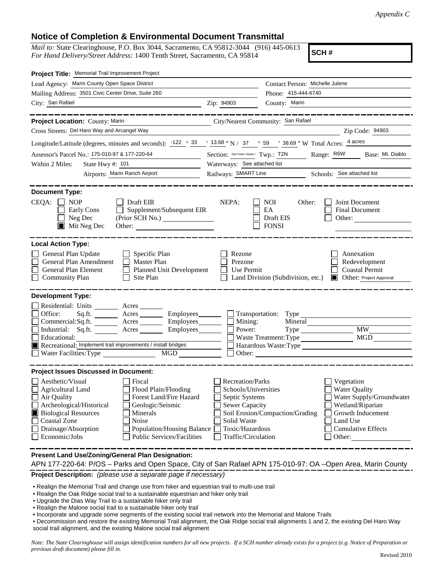## **Notice of Completion & Environmental Document Transmittal**

*Mail to:* State Clearinghouse, P.O. Box 3044, Sacramento, CA 95812-3044 (916) 445-0613 *For Hand Delivery/Street Address:* 1400 Tenth Street, Sacramento, CA 95814

**SCH #**

| Project Title: Memorial Trail Improvement Project                                                                                                                                                                                                                                                                                                                                                      |                                                                                                                                                                                 |                                                         |                                                                                                                                                            |  |  |
|--------------------------------------------------------------------------------------------------------------------------------------------------------------------------------------------------------------------------------------------------------------------------------------------------------------------------------------------------------------------------------------------------------|---------------------------------------------------------------------------------------------------------------------------------------------------------------------------------|---------------------------------------------------------|------------------------------------------------------------------------------------------------------------------------------------------------------------|--|--|
| Lead Agency: Marin County Open Space District                                                                                                                                                                                                                                                                                                                                                          |                                                                                                                                                                                 | Contact Person: Michelle Julene                         |                                                                                                                                                            |  |  |
| Mailing Address: 3501 Civic Center Drive, Suite 260                                                                                                                                                                                                                                                                                                                                                    | Phone: 415-444-6740                                                                                                                                                             |                                                         |                                                                                                                                                            |  |  |
| City: San Rafael<br><u> 1989 - Johann Barnett, fransk politiker (</u>                                                                                                                                                                                                                                                                                                                                  | Zip: 94903                                                                                                                                                                      | County: Marin                                           |                                                                                                                                                            |  |  |
|                                                                                                                                                                                                                                                                                                                                                                                                        |                                                                                                                                                                                 |                                                         |                                                                                                                                                            |  |  |
| Project Location: County: Marin<br>City/Nearest Community: San Rafael                                                                                                                                                                                                                                                                                                                                  |                                                                                                                                                                                 |                                                         |                                                                                                                                                            |  |  |
| Cross Streets: Del Haro Way and Arcangel Way                                                                                                                                                                                                                                                                                                                                                           |                                                                                                                                                                                 |                                                         | Zip Code: 94903                                                                                                                                            |  |  |
| Longitude/Latitude (degrees, minutes and seconds): $\frac{-122}{9}$ $\frac{\circ}{33}$ $\frac{13.68}{13.68}$ N / 37 $\circ$ 59 $\prime$ 38.69 $\prime$ W Total Acres: $\frac{4 \text{ acres}}{13.68}$                                                                                                                                                                                                  |                                                                                                                                                                                 |                                                         |                                                                                                                                                            |  |  |
| Assessor's Parcel No.: 175-010-97 & 177-220-64                                                                                                                                                                                                                                                                                                                                                         | Section: San Pedro Santa! Twp.: T2N<br>Range: R6W<br>Base: Mt. Diablo                                                                                                           |                                                         |                                                                                                                                                            |  |  |
| Within 2 Miles:<br>State Hwy $\#$ : 101<br><u> 1990 - Johann Barbara, martin a</u>                                                                                                                                                                                                                                                                                                                     | Waterways: See attached list                                                                                                                                                    |                                                         |                                                                                                                                                            |  |  |
| Airports: Marin Ranch Airport                                                                                                                                                                                                                                                                                                                                                                          | Railways: SMART Line Schools: See attached list                                                                                                                                 |                                                         |                                                                                                                                                            |  |  |
| <b>Document Type:</b><br>CEQA:<br><b>NOP</b><br>Draft EIR<br>Supplement/Subsequent EIR<br>Early Cons<br>$\mathsf{L}$<br>Neg Dec<br>$\blacksquare$ Mit Neg Dec<br>Other:                                                                                                                                                                                                                                | NEPA:                                                                                                                                                                           | <b>NOI</b><br>Other:<br>EA<br>Draft EIS<br><b>FONSI</b> | Joint Document<br>Final Document<br>Other:                                                                                                                 |  |  |
| <b>Local Action Type:</b><br>General Plan Update<br>$\Box$ Specific Plan<br>General Plan Amendment<br>Master Plan<br>General Plan Element<br><b>Planned Unit Development</b><br>$\mathsf{L}$<br><b>Community Plan</b><br>Site Plan                                                                                                                                                                     | Rezone<br>Prezone<br>Use Permit                                                                                                                                                 | Land Division (Subdivision, etc.)                       | Annexation<br>Redevelopment<br><b>Coastal Permit</b><br><b>Other: Project Approval</b>                                                                     |  |  |
| <b>Development Type:</b><br>Residential: Units ________ Acres _______<br>Office:<br>Employees________<br>Sq.ft. $\qquad$<br>Acres<br>Commercial:Sq.ft. ________ Acres _______<br>Industrial: Sq.ft. _______ Acres _______ Employees_______<br>Educational:<br>Recreational: Implement trail improvements / install bridges<br>Water Facilities: Type<br><b>MGD</b>                                     | Mining:<br>Power:                                                                                                                                                               | Mineral<br>Waste Treatment: Type                        | <b>MW</b><br>MGD<br>Hazardous Waste:Type<br>$\Box$ Other: $\Box$                                                                                           |  |  |
| <b>Project Issues Discussed in Document:</b><br>Aesthetic/Visual<br>Fiscal<br>Flood Plain/Flooding<br>Agricultural Land<br>Forest Land/Fire Hazard<br>Air Quality<br>Archeological/Historical<br>Geologic/Seismic<br><b>Biological Resources</b><br>Minerals<br>IЦ<br>Coastal Zone<br>Noise<br>Drainage/Absorption<br>Population/Housing Balance<br><b>Public Services/Facilities</b><br>Economic/Jobs | Recreation/Parks<br>Schools/Universities<br>Septic Systems<br><b>Sewer Capacity</b><br>Soil Erosion/Compaction/Grading<br>Solid Waste<br>Toxic/Hazardous<br>Traffic/Circulation |                                                         | Vegetation<br><b>Water Quality</b><br>Water Supply/Groundwater<br>Wetland/Riparian<br>Growth Inducement<br>Land Use<br><b>Cumulative Effects</b><br>Other: |  |  |
| Present Land Use/Zoning/General Plan Designation:                                                                                                                                                                                                                                                                                                                                                      |                                                                                                                                                                                 |                                                         |                                                                                                                                                            |  |  |

**Project Description:** *(please use a separate page if necessary)* APN 177-220-64: P/OS – Parks and Open Space, City of San Rafael APN 175-010-97: OA –Open Area, Marin County

- Realign the Memorial Trail and change use from hiker and equestrian trail to multi-use trail
- Realign the Oak Ridge social trail to a sustainable equestrian and hiker only trail
- Upgrade the Dias Way Trail to a sustainable hiker only trail
- Realign the Malone social trail to a sustainable hiker only trail
- Incorporate and upgrade some segments of the existing social trail network into the Memorial and Malone Trails

• Decommission and restore the existing Memorial Trail alignment, the Oak Ridge social trail alignments 1 and 2, the existing Del Haro Way social trail alignment, and the existing Malone social trail alignment

*Note: The State Clearinghouse will assign identification numbers for all new projects. If a SCH number already exists for a project (e.g. Notice of Preparation or previous draft document) please fill in.*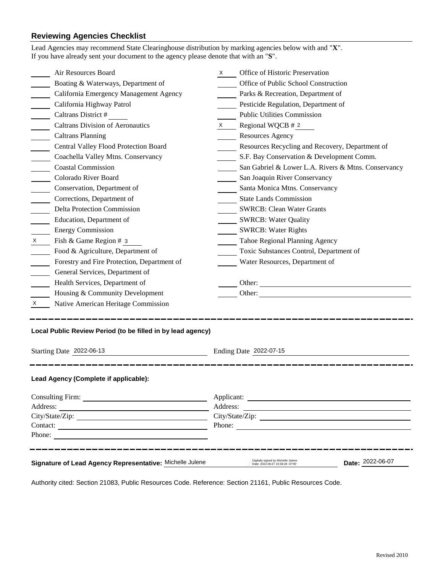## **Reviewing Agencies Checklist**<br>Lead Agencies may recommend State Cl

|                                                             | Lead Agencies may recommend State Clearinghouse distribution by marking agencies below with and "X".<br>If you have already sent your document to the agency please denote that with an "S". |          |                                                                                              |  |  |
|-------------------------------------------------------------|----------------------------------------------------------------------------------------------------------------------------------------------------------------------------------------------|----------|----------------------------------------------------------------------------------------------|--|--|
|                                                             | Air Resources Board                                                                                                                                                                          | $X \sim$ | Office of Historic Preservation                                                              |  |  |
|                                                             | Boating & Waterways, Department of                                                                                                                                                           |          | Office of Public School Construction                                                         |  |  |
|                                                             | California Emergency Management Agency                                                                                                                                                       |          | Parks & Recreation, Department of                                                            |  |  |
|                                                             | California Highway Patrol                                                                                                                                                                    |          | Pesticide Regulation, Department of                                                          |  |  |
| $\mathcal{L}^{\text{max}}$                                  | Caltrans District #                                                                                                                                                                          |          | <b>Public Utilities Commission</b>                                                           |  |  |
|                                                             | <b>Caltrans Division of Aeronautics</b>                                                                                                                                                      |          | $X \qquad$ Regional WQCB # 2                                                                 |  |  |
| $\overline{\phantom{a}}$                                    | <b>Caltrans Planning</b>                                                                                                                                                                     |          | <b>Resources Agency</b>                                                                      |  |  |
|                                                             | Central Valley Flood Protection Board                                                                                                                                                        |          | Resources Recycling and Recovery, Department of                                              |  |  |
|                                                             | Coachella Valley Mtns. Conservancy                                                                                                                                                           |          | S.F. Bay Conservation & Development Comm.                                                    |  |  |
|                                                             | <b>Coastal Commission</b>                                                                                                                                                                    |          | San Gabriel & Lower L.A. Rivers & Mtns. Conservancy                                          |  |  |
|                                                             | Colorado River Board                                                                                                                                                                         |          | San Joaquin River Conservancy                                                                |  |  |
|                                                             | Conservation, Department of                                                                                                                                                                  |          | Santa Monica Mtns. Conservancy                                                               |  |  |
|                                                             | Corrections, Department of                                                                                                                                                                   |          | <b>State Lands Commission</b>                                                                |  |  |
|                                                             | Delta Protection Commission                                                                                                                                                                  |          | <b>SWRCB: Clean Water Grants</b>                                                             |  |  |
|                                                             | Education, Department of                                                                                                                                                                     |          | <b>SWRCB: Water Quality</b>                                                                  |  |  |
|                                                             | <b>Energy Commission</b>                                                                                                                                                                     |          | <b>SWRCB: Water Rights</b>                                                                   |  |  |
| $\mathsf{X}$                                                | Fish & Game Region # 3                                                                                                                                                                       |          | Tahoe Regional Planning Agency                                                               |  |  |
|                                                             | Food & Agriculture, Department of                                                                                                                                                            |          | Toxic Substances Control, Department of                                                      |  |  |
|                                                             | Forestry and Fire Protection, Department of                                                                                                                                                  |          | Water Resources, Department of                                                               |  |  |
|                                                             | General Services, Department of                                                                                                                                                              |          |                                                                                              |  |  |
|                                                             | Health Services, Department of                                                                                                                                                               |          | Other:                                                                                       |  |  |
|                                                             | Housing & Community Development                                                                                                                                                              |          |                                                                                              |  |  |
| X.                                                          | Native American Heritage Commission                                                                                                                                                          |          |                                                                                              |  |  |
| Local Public Review Period (to be filled in by lead agency) |                                                                                                                                                                                              |          |                                                                                              |  |  |
| Starting Date 2022-06-13<br>Ending Date 2022-07-15          |                                                                                                                                                                                              |          |                                                                                              |  |  |
|                                                             | Lead Agency (Complete if applicable):                                                                                                                                                        |          |                                                                                              |  |  |
|                                                             |                                                                                                                                                                                              |          |                                                                                              |  |  |
|                                                             |                                                                                                                                                                                              |          |                                                                                              |  |  |
|                                                             |                                                                                                                                                                                              |          |                                                                                              |  |  |
|                                                             |                                                                                                                                                                                              |          | Phone:                                                                                       |  |  |
|                                                             | Phone:                                                                                                                                                                                       |          |                                                                                              |  |  |
|                                                             | Signature of Lead Agency Representative: Michelle Julene                                                                                                                                     |          | Digitally signed by Michelle Julene<br>Date: 2022-06-07<br>Date: 2022.06.07 15:58:28 -07'00' |  |  |

Authority cited: Section 21083, Public Resources Code. Reference: Section 21161, Public Resources Code.